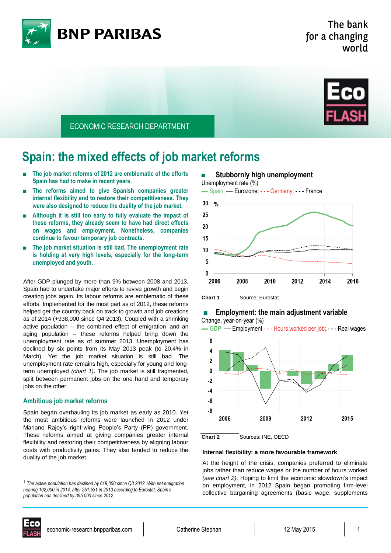



ECONOMIC RESEARCH DEPARTMENT

# **Spain: the mixed effects of job market reforms**

- The job market reforms of 2012 are emblematic of the efforts **Spain has had to make in recent years.**
- **The reforms aimed to give Spanish companies greater internal flexibility and to restore their competitiveness. They were also designed to reduce the duality of the job market.**
- Although it is still too early to fully evaluate the impact of **these reforms, they already seem to have had direct effects on wages and employment. Nonetheless, companies continue to favour temporary job contracts.**
- **The job market situation is still bad. The unemployment rate is holding at very high levels, especially for the long-term unemployed and youth.**

After GDP plunged by more than 9% between 2008 and 2013, Spain had to undertake major efforts to revive growth and begin creating jobs again. Its labour reforms are emblematic of these efforts. Implemented for the most part as of 2012, these reforms helped get the country back on track to growth and job creations as of 2014 (+938,000 since Q4 2013). Coupled with a shrinking active population -- the combined effect of emigration<sup>1</sup> and an aging population -- these reforms helped bring down the unemployment rate as of summer 2013. Unemployment has declined by six points from its May 2013 peak (to 20.4% in March). Yet the job market situation is still bad. The unemployment rate remains high, especially for young and longterm unemployed *(chart 1)*. The job market is still fragmented, split between permanent jobs on the one hand and temporary jobs on the other.

### **Ambitious job market reforms**

Spain began overhauling its job market as early as 2010. Yet the most ambitious reforms were launched in 2012 under Mariano Rajoy's right-wing People's Party (PP) government. These reforms aimed at giving companies greater internal flexibility and restoring their competitiveness by aligning labour costs with productivity gains. They also tended to reduce the duality of the job market.



### **Employment: the main adjustment variable** Change, year-on-year (%)

▬ **GDP**; — Employment - - - Hours worked per job; - - - Real wages



**Chart 2** Sources: INE, OECD

### **Internal flexibility: a more favourable framework**

At the height of the crisis, companies preferred to eliminate jobs rather than reduce wages or the number of hours worked *(see chart 2)*. Hoping to limit the economic slowdown's impact on employment, in 2012 Spain began promoting firm-level collective bargaining agreements (basic wage, supplements



 $\overline{\phantom{a}}$ 

<sup>1</sup> *The active population has declined by 618,000 since Q3 2012. With net emigration nearing 102,000 in 2014, after 251,531 in 2013 according to Eurostat, Spain's population has declined by 395,000 since 2012.*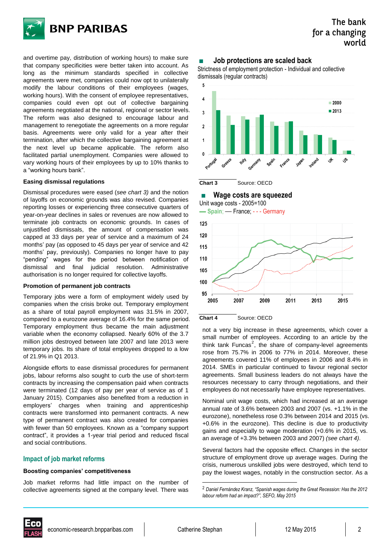

and overtime pay, distribution of working hours) to make sure that company specificities were better taken into account. As long as the minimum standards specified in collective agreements were met, companies could now opt to unilaterally modify the labour conditions of their employees (wages, working hours). With the consent of employee representatives, companies could even opt out of collective bargaining agreements negotiated at the national, regional or sector levels. The reform was also designed to encourage labour and management to renegotiate the agreements on a more regular basis. Agreements were only valid for a year after their termination, after which the collective bargaining agreement at the next level up became applicable. The reform also facilitated partial unemployment. Companies were allowed to vary working hours of their employees by up to 10% thanks to a "working hours bank".

### **Easing dismissal regulations**

Dismissal procedures were eased (*see chart 3)* and the notion of layoffs on economic grounds was also revised. Companies reporting losses or experiencing three consecutive quarters of year-on-year declines in sales or revenues are now allowed to terminate job contracts on economic grounds. In cases of unjustified dismissals, the amount of compensation was capped at 33 days per year of service and a maximum of 24 months' pay (as opposed to 45 days per year of service and 42 months' pay, previously). Companies no longer have to pay "pending" wages for the period between notification of dismissal and final judicial resolution. Administrative authorisation is no longer required for collective layoffs.

### **Promotion of permanent job contracts**

Temporary jobs were a form of employment widely used by companies when the crisis broke out. Temporary employment as a share of total payroll employment was 31.5% in 2007, compared to a eurozone average of 16.4% for the same period. Temporary employment thus became the main adjustment variable when the economy collapsed. Nearly 60% of the 3.7 million jobs destroyed between late 2007 and late 2013 were temporary jobs. Its share of total employees dropped to a low of 21.9% in Q1 2013.

Alongside efforts to ease dismissal procedures for permanent jobs, labour reforms also sought to curb the use of short-term contracts by increasing the compensation paid when contracts were terminated (12 days of pay per year of service as of 1 January 2015). Companies also benefited from a reduction in employers' charges when training and apprenticeship contracts were transformed into permanent contracts. A new type of permanent contract was also created for companies with fewer than 50 employees. Known as a "company support contract", it provides a 1-year trial period and reduced fiscal and social contributions.

### **Impact of job market reforms**

### **Boosting companies' competitiveness**

Job market reforms had little impact on the number of collective agreements signed at the company level. There was

### ■ **Job protections are scaled back**

Strictness of employment protection - Individual and collective dismissals (regular contracts)







**Chart 4** Source: OECD

not a very big increase in these agreements, which cover a small number of employees. According to an article by the think tank Funcas<sup>2</sup>, the share of company-level agreements rose from 75.7% in 2006 to 77% in 2014. Moreover, these agreements covered 11% of employees in 2006 and 8.4% in 2014. SMEs in particular continued to favour regional sector agreements. Small business leaders do not always have the resources necessary to carry through negotiations, and their employees do not necessarily have employee representatives.

Nominal unit wage costs, which had increased at an average annual rate of 3.6% between 2003 and 2007 (vs. +1.1% in the eurozone), nonetheless rose 0.3% between 2014 and 2015 (vs. +0.6% in the eurozone). This decline is due to productivity gains and especially to wage moderation (+0.6% in 2015, vs. an average of +3.3% between 2003 and 2007) *(see chart 4)*.

Several factors had the opposite effect. Changes in the sector structure of employment drove up average wages. During the crisis, numerous unskilled jobs were destroyed, which tend to pay the lowest wages, notably in the construction sector. As a



<u>.</u>

# The bank for a changing world

<sup>2</sup> *Daniel Fernández Kranz, "Spanish wages during the Great Recession: Has the 2012 labour reform had an impact?", SEFO, May 2015*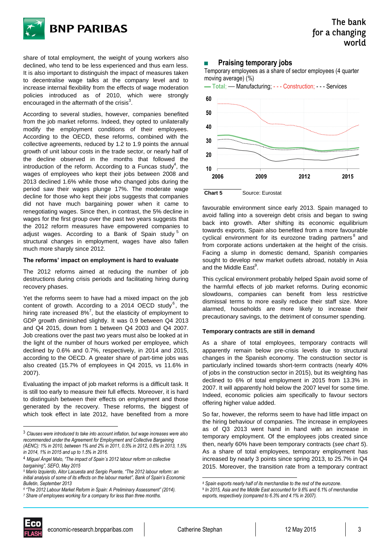

share of total employment, the weight of young workers also declined, who tend to be less experienced and thus earn less. It is also important to distinguish the impact of measures taken to decentralise wage talks at the company level and to increase internal flexibility from the effects of wage moderation policies introduced as of 2010, which were strongly encouraged in the aftermath of the crisis<sup>3</sup>.

According to several studies, however, companies benefited from the job market reforms. Indeed, they opted to unilaterally modify the employment conditions of their employees. According to the OECD, these reforms, combined with the collective agreements, reduced by 1.2 to 1.9 points the annual growth of unit labour costs in the trade sector, or nearly half of the decline observed in the months that followed the introduction of the reform. According to a Funcas study<sup>4</sup>, the wages of employees who kept their jobs between 2008 and 2013 declined 1.6% while those who changed jobs during the period saw their wages plunge 17%. The moderate wage decline for those who kept their jobs suggests that companies did not have much bargaining power when it came to renegotiating wages. Since then, in contrast, the 5% decline in wages for the first group over the past two years suggests that the 2012 reform measures have empowered companies to adjust wages. According to a Bank of Spain study 5 on structural changes in employment, wages have also fallen much more sharply since 2012.

### **The reforms' impact on employment is hard to evaluate**

The 2012 reforms aimed at reducing the number of job destructions during crisis periods and facilitating hiring during recovery phases.

Yet the reforms seem to have had a mixed impact on the job content of growth. According to a 2014 OECD study<sup>6</sup>, the hiring rate increased  $8\%$ <sup>7</sup>, but the elasticity of employment to GDP growth diminished slightly. It was 0.9 between Q4 2013 and Q4 2015, down from 1 between Q4 2003 and Q4 2007. Job creations over the past two years must also be looked at in the light of the number of hours worked per employee, which declined by 0.6% and 0.7%, respectively, in 2014 and 2015, according to the OECD. A greater share of part-time jobs was also created (15.7% of employees in Q4 2015, vs 11.6% in 2007).

Evaluating the impact of job market reforms is a difficult task. It is still too early to measure their full effects. Moreover, it is hard to distinguish between their effects on employment and those generated by the recovery. These reforms, the biggest of which took effect in late 2012, have benefited from a more

*6 "The 2012 Labour Market Reform in Spain: A Preliminary Assessment" (2014).*

### **Praising temporary jobs**

Temporary employees as a share of sector employees (4 quarter moving average) (%)



favourable environment since early 2013. Spain managed to avoid falling into a sovereign debt crisis and began to swing back into growth. After shifting its economic equilibrium towards exports, Spain also benefited from a more favourable cyclical environment for its eurozone trading partners<sup>8</sup> and from corporate actions undertaken at the height of the crisis. Facing a slump in domestic demand, Spanish companies sought to develop new market outlets abroad, notably in Asia and the Middle East<sup>9</sup>.

This cyclical environment probably helped Spain avoid some of the harmful effects of job market reforms. During economic slowdowns, companies can benefit from less restrictive dismissal terms to more easily reduce their staff size. More alarmed, households are more likely to increase their precautionary savings, to the detriment of consumer spending.

### **Temporary contracts are still in demand**

As a share of total employees, temporary contracts will apparently remain below pre-crisis levels due to structural changes in the Spanish economy. The construction sector is particularly inclined towards short-term contracts (nearly 40% of jobs in the construction sector in 2015), but its weighting has declined to 6% of total employment in 2015 from 13.3% in 2007. It will apparently hold below the 2007 level for some time. Indeed, economic policies aim specifically to favour sectors offering higher value added.

So far, however, the reforms seem to have had little impact on the hiring behaviour of companies. The increase in employees as of Q3 2013 went hand in hand with an increase in temporary employment. Of the employees jobs created since then, nearly 60% have been temporary contracts (*see chart 5*). As a share of total employees, temporary employment has increased by nearly 3 points since spring 2013, to 25.7% in Q4 2015. Moreover, the transition rate from a temporary contract



l

.

<sup>3</sup> *Clauses were introduced to take into account inflation, but wage increases were also recommended under the Agreement for Employment and Collective Bargaining (AENC): 1% in 2010, between 1% and 2% in 2011, 0.5% in 2012, 0.6% in 2013, 1.5%* 

*in 2014, 1% in 2015 and up to 1.5% in 2016.*

<sup>4</sup> *Miguel Ángel Malo, "The impact of Spain´s 2012 labour reform on collective bargaining", SEFO, May 2015*

*<sup>5</sup> Mario Izquierdo, Aitor Lacuesta and Sergio Puente, "The 2012 labour reform: an initial analysis of some of its effects on the labour market", Bank of Spain's Economic Bulletin, September 2013*

*<sup>7</sup> Share of employees working for a company for less than three months.*

*<sup>8</sup> Spain exports nearly half of its merchandise to the rest of the eurozone.*

<sup>9</sup> *In 2015, Asia and the Middle East accounted for 9.6% and 6.1% of merchandise exports, respectively (compared to 6.3% and 4.1% in 2007).*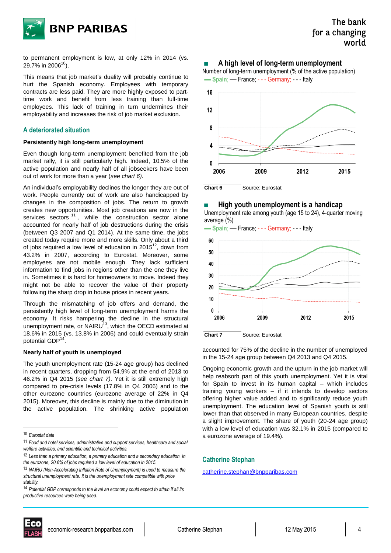

to permanent employment is low, at only 12% in 2014 (vs. 29.7% in 2006 $^{10}$ ).

This means that job market's duality will probably continue to hurt the Spanish economy. Employees with temporary contracts are less paid. They are more highly exposed to parttime work and benefit from less training than full-time employees. This lack of training in turn undermines their employability and increases the risk of job market exclusion.

### **A deteriorated situation**

### **Persistently high long-term unemployment**

Even though long-term unemployment benefited from the job market rally, it is still particularly high. Indeed, 10.5% of the active population and nearly half of all jobseekers have been out of work for more than a year (*see chart 6).* 

An individual's employability declines the longer they are out of work. People currently out of work are also handicapped by changes in the composition of jobs. The return to growth creates new opportunities. Most job creations are now in the services sectors  $11$ , while the construction sector alone accounted for nearly half of job destructions during the crisis (between Q3 2007 and Q1 2014). At the same time, the jobs created today require more and more skills. Only about a third of jobs required a low level of education in 2015 $^{12}$ , down from 43.2% in 2007, according to Eurostat. Moreover, some employees are not mobile enough. They lack sufficient information to find jobs in regions other than the one they live in. Sometimes it is hard for homeowners to move. Indeed they might not be able to recover the value of their property following the sharp drop in house prices in recent years.

Through the mismatching of job offers and demand, the persistently high level of long-term unemployment harms the economy. It risks hampering the decline in the structural unemployment rate, or NAIRU $^{13}$ , which the OECD estimated at 18.6% in 2015 (vs. 13.8% in 2006) and could eventually strain potential GDP<sup>14</sup>.

### **Nearly half of youth is unemployed**

The youth unemployment rate (15-24 age group) has declined in recent quarters, dropping from 54.9% at the end of 2013 to 46.2% in Q4 2015 (*see chart 7)*. Yet it is still extremely high compared to pre-crisis levels (17.8% in Q4 2006) and to the other eurozone countries (eurozone average of 22% in Q4 2015). Moreover, this decline is mainly due to the diminution in the active population. The shrinking active population

l

### A high level of long-term unemployment







**Chart 6** Source: Eurostat

■ **High youth unemployment is a handicap** 

Unemployment rate among youth (age 15 to 24), 4-quarter moving average (%)

▬ **Spain**; — France; - - - Germany; - - - Italy



**Chart 7** Source: Eurostat

accounted for 75% of the decline in the number of unemployed in the 15-24 age group between Q4 2013 and Q4 2015.

Ongoing economic growth and the upturn in the job market will help reabsorb part of this youth unemployment. Yet it is vital for Spain to invest in its human capital – which includes training young workers – if it intends to develop sectors offering higher value added and to significantly reduce youth unemployment. The education level of Spanish youth is still lower than that observed in many European countries, despite a slight improvement. The share of youth (20-24 age group) with a low level of education was 32.1% in 2015 (compared to a eurozone average of 19.4%).

### **Catherine Stephan**

<u>[catherine.stephan@bnpparibas.com](mailto:catherine.stephan@bnpparibas.com)</u>



<sup>10</sup> *Eurostat data*

<sup>11</sup> *Food and hotel services, administrative and support services, healthcare and social welfare activities, and scientific and technical activities.*

<sup>12</sup> *Less than a primary education, a primary education and a secondary education. In the eurozone, 20.6% of jobs required a low level of education in 2015.*

<sup>13</sup> *NAIRU (Non-Accelerating Inflation Rate of Unemployment) is used to measure the structural unemployment rate. It is the unemployment rate compatible with price stability.*

<sup>14</sup> *Potential GDP corresponds to the level an economy could expect to attain if all its productive resources were being used.*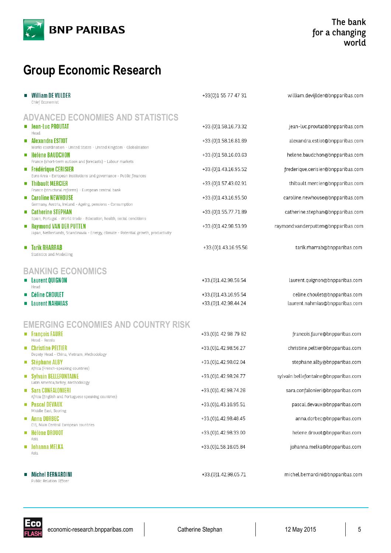

# **Group Economic Research**

| William DE VIJLDER<br>Chief Economist                                                                                                                                                                                                                                                                                                                                                                                                                                                                                                                                                                                                                                                                                                                                | +33(0)1 55 77 47 31                                                                                                                                                                                                  | william.devijlder@bnpparibas.com                                                                                                                                                                                                                                                                            |
|----------------------------------------------------------------------------------------------------------------------------------------------------------------------------------------------------------------------------------------------------------------------------------------------------------------------------------------------------------------------------------------------------------------------------------------------------------------------------------------------------------------------------------------------------------------------------------------------------------------------------------------------------------------------------------------------------------------------------------------------------------------------|----------------------------------------------------------------------------------------------------------------------------------------------------------------------------------------------------------------------|-------------------------------------------------------------------------------------------------------------------------------------------------------------------------------------------------------------------------------------------------------------------------------------------------------------|
| <b>ADVANCED ECONOMIES AND STATISTICS</b><br><b>E</b> Jean-Luc PROUTAT<br>Head<br>Alexandra ESTIOT<br>$\mathcal{L}_{\mathcal{A}}$<br>Works coordination - United States - United Kingdom - Globalisation<br><b>E</b> Hélène BAUDCHON<br>France (short-term outlook and forecasts) - Labour markets<br><b>Frédérique CERISIER</b><br>Euro Area - European institutions and governance - Public finances<br>$\blacksquare$ Thibault MERCIER<br>France (structural reforms) - European central bank<br><b>Caroline NEWHOUSE</b><br><b>Tal</b><br>Germany, Austria, Ireland - Ageing, pensions - Consumption<br>Catherine STEPHAN<br>$\mathcal{L}_{\mathcal{A}}$<br>Spain, Portugal - World trade - Education, health, social conditions<br><b>Raymond VAN DER PUTTEN</b> | +33.(0)1.58.16.73.32<br>+33.(0)1.58.16.81.69<br>+33.(0)1.58.16.03.63<br>+33.(0)1.43.16.95.52<br>+33.(0)1.57.43.02.91<br>+33.(0)1.43.16.95.50<br>+33.(0)1.55.77.71.89<br>+33.(0)1.42.98.53.99                         | jean-luc.proutat@bnpparibas.com<br>alexandra.estiot@bnpparibas.com<br>helene.baudchon@bnpparibas.com<br>frederique.cerisier@bnpparibas.com<br>thibault.mercier@bnpparibas.com<br>caroline.newhouse@bnpparibas.com<br>catherine.stephan@bnpparibas.com<br>raymond.vanderputten@bnpparibas.com                |
| Japan, Netherlands, Scandinavia - Energy, climate - Potential growth, productivity<br><b>Tarik RHARRAB</b><br>Statistics and Modelling                                                                                                                                                                                                                                                                                                                                                                                                                                                                                                                                                                                                                               | +33.(0)1.43.16.95.56                                                                                                                                                                                                 | tarik.rharrab@bnpparibas.com                                                                                                                                                                                                                                                                                |
| <b>BANKING ECONOMICS</b><br><b>Laurent QUIGNON</b><br><b>CONTRACTOR</b><br>Head<br>Céline CHOULET<br><b>Laurent NAHMIAS</b>                                                                                                                                                                                                                                                                                                                                                                                                                                                                                                                                                                                                                                          | +33.(0)1.42.98.56.54<br>+33.(0)1.43.16.95.54<br>+33.(0)1.42.98.44.24                                                                                                                                                 | laurent.quignon@bnpparibas.com<br>celine.choulet@bnpparibas.com<br>laurent.nahmias@bnpparibas.com                                                                                                                                                                                                           |
| <b>EMERGING ECONOMIES AND COUNTRY RISK</b><br>■ François FAURE<br>Head - Russia<br>• Christine PELTIER<br>Deputy Head - China, Vietnam, Methodology<br>$\blacksquare$ Stéphane ALBY<br>Africa (French-speaking countries)<br>Sylvain BELLEFONTAINE<br>Latin America,Turkey, Methodology<br><b>Sara CONFALONIERI</b><br>$\mathcal{L}_{\mathcal{A}}$<br>Africa (English and Portuguese speaking countries)<br>Pascal DEVAUX<br>ш<br>Middle East, Scoring<br>Anna DORBEC<br>ш<br>CIS, Main Central European countries<br>Hélène DROUOT<br>$\blacksquare$<br>Asia<br><b>Johanna MELKA</b><br>ш<br>Asia                                                                                                                                                                   | +33.(0)1 42 98 79 82<br>+33.(0)1.42.98.56.27<br>+33.(0)1.42.98.02.04<br>+33.(0)1.42.98.26.77<br>+33.(0)1.42.98.74.26<br>+33.(0)1.43.16.95.51<br>+33.(0)1.42.98.48.45<br>+33.(0)1.42.98.33.00<br>+33.(0)1.58.16.05.84 | francois.faure@bnpparibas.com<br>christine.peltier@bnpparibas.com<br>stephane.alby@bnpparibas.com<br>sylvain.bellefontaine@bnpparibas.com<br>sara.confalonieri@bnpparibas.com<br>pascal.devaux@bnpparibas.com<br>anna.dorbec@bnpparibas.com<br>helene.drouot@bnpparibas.com<br>johanna.melka@bnpparibas.com |
| Michel BERNARDINI<br>Public Relation Officer                                                                                                                                                                                                                                                                                                                                                                                                                                                                                                                                                                                                                                                                                                                         | +33.(0)1.42.98.05.71                                                                                                                                                                                                 | michel.bernardini@bnpparibas.com                                                                                                                                                                                                                                                                            |